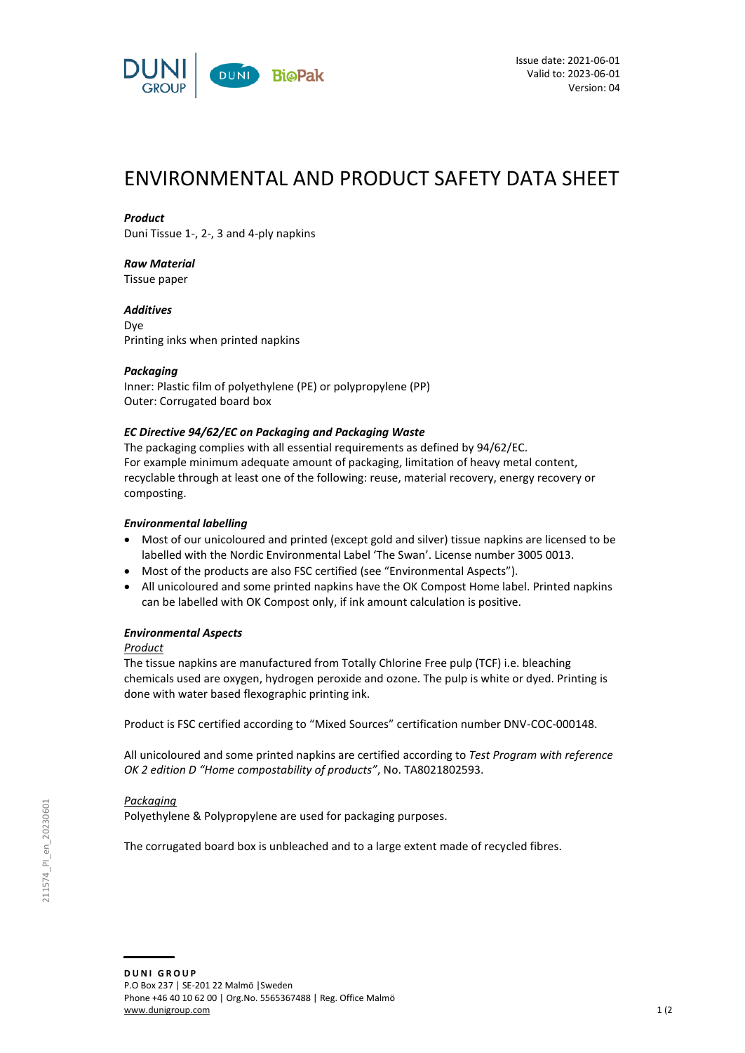

# ENVIRONMENTAL AND PRODUCT SAFETY DATA SHEET

## *Product*

Duni Tissue 1-, 2-, 3 and 4-ply napkins

## *Raw Material*

Tissue paper

*Additives* Dye Printing inks when printed napkins

## *Packaging*

Inner: Plastic film of polyethylene (PE) or polypropylene (PP) Outer: Corrugated board box

## *EC Directive 94/62/EC on Packaging and Packaging Waste*

The packaging complies with all essential requirements as defined by 94/62/EC. For example minimum adequate amount of packaging, limitation of heavy metal content, recyclable through at least one of the following: reuse, material recovery, energy recovery or composting.

## *Environmental labelling*

- Most of our unicoloured and printed (except gold and silver) tissue napkins are licensed to be labelled with the Nordic Environmental Label 'The Swan'. License number 3005 0013.
- Most of the products are also FSC certified (see "Environmental Aspects").
- All unicoloured and some printed napkins have the OK Compost Home label. Printed napkins can be labelled with OK Compost only, if ink amount calculation is positive.

## *Environmental Aspects*

## *Product*

The tissue napkins are manufactured from Totally Chlorine Free pulp (TCF) i.e. bleaching chemicals used are oxygen, hydrogen peroxide and ozone. The pulp is white or dyed. Printing is done with water based flexographic printing ink.

Product is FSC certified according to "Mixed Sources" certification number DNV-COC-000148.

All unicoloured and some printed napkins are certified according to *Test Program with reference OK 2 edition D "Home compostability of products"*, No. TA8021802593.

## *Packaging*

Polyethylene & Polypropylene are used for packaging purposes.

The corrugated board box is unbleached and to a large extent made of recycled fibres.